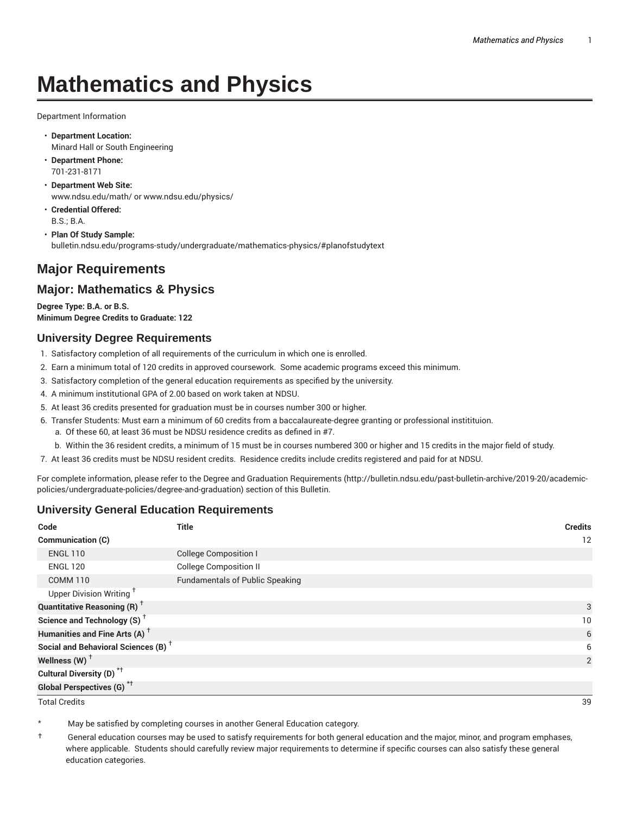# **Mathematics and Physics**

Department Information

- **Department Location:** Minard Hall or South Engineering
- **Department Phone:** 701-231-8171
- **Department Web Site:** www.ndsu.edu/math/ or www.ndsu.edu/physics/
- **Credential Offered:** B.S.; B.A.
- **Plan Of Study Sample:** bulletin.ndsu.edu/programs-study/undergraduate/mathematics-physics/#planofstudytext

# **Major Requirements**

## **Major: Mathematics & Physics**

**Degree Type: B.A. or B.S. Minimum Degree Credits to Graduate: 122**

#### **University Degree Requirements**

- 1. Satisfactory completion of all requirements of the curriculum in which one is enrolled.
- 2. Earn a minimum total of 120 credits in approved coursework. Some academic programs exceed this minimum.
- 3. Satisfactory completion of the general education requirements as specified by the university.
- 4. A minimum institutional GPA of 2.00 based on work taken at NDSU.
- 5. At least 36 credits presented for graduation must be in courses number 300 or higher.
- 6. Transfer Students: Must earn a minimum of 60 credits from a baccalaureate-degree granting or professional institituion.
	- a. Of these 60, at least 36 must be NDSU residence credits as defined in #7.
	- b. Within the 36 resident credits, a minimum of 15 must be in courses numbered 300 or higher and 15 credits in the major field of study.
- 7. At least 36 credits must be NDSU resident credits. Residence credits include credits registered and paid for at NDSU.

For complete information, please refer to the Degree and Graduation Requirements (http://bulletin.ndsu.edu/past-bulletin-archive/2019-20/academicpolicies/undergraduate-policies/degree-and-graduation) section of this Bulletin.

### **University General Education Requirements**

| Code                                            | <b>Title</b>                           | <b>Credits</b> |
|-------------------------------------------------|----------------------------------------|----------------|
| <b>Communication (C)</b>                        |                                        | 12             |
| <b>ENGL 110</b>                                 | <b>College Composition I</b>           |                |
| <b>ENGL 120</b>                                 | <b>College Composition II</b>          |                |
| <b>COMM 110</b>                                 | <b>Fundamentals of Public Speaking</b> |                |
| Upper Division Writing <sup>+</sup>             |                                        |                |
| <b>Quantitative Reasoning (R)</b> <sup>†</sup>  |                                        | 3              |
| Science and Technology (S) <sup>+</sup>         |                                        | 10             |
| Humanities and Fine Arts (A) <sup>+</sup>       |                                        | 6              |
| Social and Behavioral Sciences (B) <sup>+</sup> |                                        | 6              |
| Wellness $(W)$ <sup>+</sup>                     |                                        | 2              |
| Cultural Diversity (D) <sup>*†</sup>            |                                        |                |
| Global Perspectives (G) <sup>*†</sup>           |                                        |                |

Total Credits 39

May be satisfied by completing courses in another General Education category.

† General education courses may be used to satisfy requirements for both general education and the major, minor, and program emphases, where applicable. Students should carefully review major requirements to determine if specific courses can also satisfy these general education categories.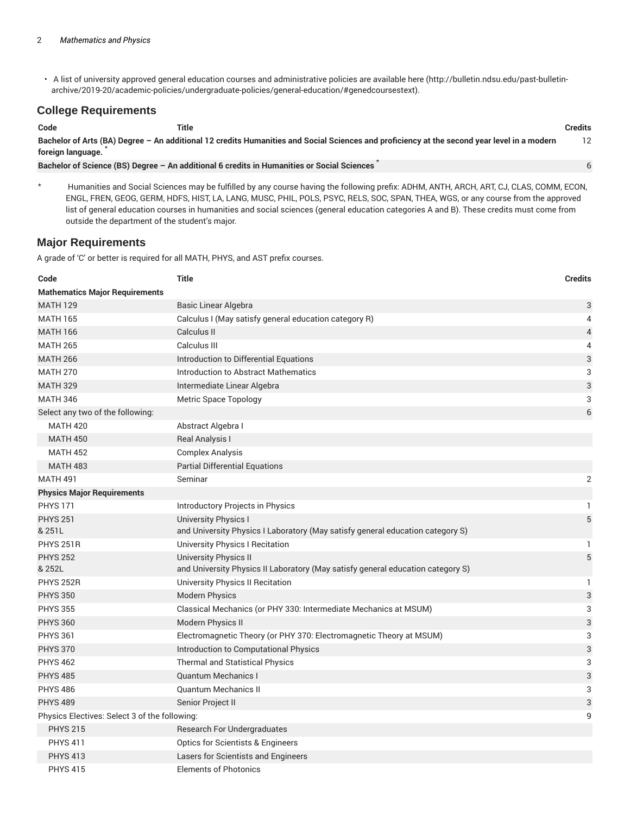• A list of university approved general education courses and administrative policies are available here (http://bulletin.ndsu.edu/past-bulletinarchive/2019-20/academic-policies/undergraduate-policies/general-education/#genedcoursestext).

#### **College Requirements**

| Code              | Title |                                                                                                                                             | <b>Credits</b> |
|-------------------|-------|---------------------------------------------------------------------------------------------------------------------------------------------|----------------|
| foreign language. |       | Bachelor of Arts (BA) Degree - An additional 12 credits Humanities and Social Sciences and proficiency at the second year level in a modern |                |
|                   |       | Bachelor of Science (BS) Degree - An additional 6 credits in Humanities or Social Sciences                                                  |                |

Humanities and Social Sciences may be fulfilled by any course having the following prefix: ADHM, ANTH, ARCH, ART, CJ, CLAS, COMM, ECON, ENGL, FREN, GEOG, GERM, HDFS, HIST, LA, LANG, MUSC, PHIL, POLS, PSYC, RELS, SOC, SPAN, THEA, WGS, or any course from the approved list of general education courses in humanities and social sciences (general education categories A and B). These credits must come from outside the department of the student's major.

#### **Major Requirements**

A grade of 'C' or better is required for all MATH, PHYS, and AST prefix courses.

| Code                                          | <b>Title</b>                                                                                                  | <b>Credits</b> |
|-----------------------------------------------|---------------------------------------------------------------------------------------------------------------|----------------|
| <b>Mathematics Major Requirements</b>         |                                                                                                               |                |
| <b>MATH 129</b>                               | Basic Linear Algebra                                                                                          | 3              |
| <b>MATH 165</b>                               | Calculus I (May satisfy general education category R)                                                         | 4              |
| <b>MATH 166</b>                               | Calculus II                                                                                                   | 4              |
| <b>MATH 265</b>                               | Calculus III                                                                                                  | 4              |
| <b>MATH 266</b>                               | Introduction to Differential Equations                                                                        | 3              |
| <b>MATH 270</b>                               | <b>Introduction to Abstract Mathematics</b>                                                                   | 3              |
| <b>MATH 329</b>                               | Intermediate Linear Algebra                                                                                   | 3              |
| <b>MATH 346</b>                               | <b>Metric Space Topology</b>                                                                                  | 3              |
| Select any two of the following:              |                                                                                                               | 6              |
| <b>MATH 420</b>                               | Abstract Algebra I                                                                                            |                |
| <b>MATH 450</b>                               | Real Analysis I                                                                                               |                |
| <b>MATH 452</b>                               | <b>Complex Analysis</b>                                                                                       |                |
| <b>MATH 483</b>                               | <b>Partial Differential Equations</b>                                                                         |                |
| <b>MATH 491</b>                               | Seminar                                                                                                       | 2              |
| <b>Physics Major Requirements</b>             |                                                                                                               |                |
| <b>PHYS 171</b>                               | Introductory Projects in Physics                                                                              | 1              |
| <b>PHYS 251</b><br>& 251L                     | <b>University Physics I</b><br>and University Physics I Laboratory (May satisfy general education category S) | 5              |
| <b>PHYS 251R</b>                              | University Physics I Recitation                                                                               | 1              |
| <b>PHYS 252</b><br>& 252L                     | University Physics II<br>and University Physics II Laboratory (May satisfy general education category S)      | $\sqrt{5}$     |
| PHYS 252R                                     | <b>University Physics II Recitation</b>                                                                       | 1.             |
| <b>PHYS 350</b>                               | <b>Modern Physics</b>                                                                                         | 3              |
| <b>PHYS 355</b>                               | Classical Mechanics (or PHY 330: Intermediate Mechanics at MSUM)                                              | 3              |
| <b>PHYS 360</b>                               | <b>Modern Physics II</b>                                                                                      | 3              |
| <b>PHYS 361</b>                               | Electromagnetic Theory (or PHY 370: Electromagnetic Theory at MSUM)                                           | 3              |
| <b>PHYS 370</b>                               | Introduction to Computational Physics                                                                         | 3              |
| <b>PHYS 462</b>                               | <b>Thermal and Statistical Physics</b>                                                                        | 3              |
| <b>PHYS 485</b>                               | <b>Quantum Mechanics I</b>                                                                                    | 3              |
| <b>PHYS 486</b>                               | <b>Quantum Mechanics II</b>                                                                                   | 3              |
| <b>PHYS 489</b>                               | Senior Project II                                                                                             | 3              |
| Physics Electives: Select 3 of the following: |                                                                                                               | 9              |
| <b>PHYS 215</b>                               | Research For Undergraduates                                                                                   |                |
| <b>PHYS 411</b>                               | <b>Optics for Scientists &amp; Engineers</b>                                                                  |                |
| <b>PHYS 413</b>                               | Lasers for Scientists and Engineers                                                                           |                |
| <b>PHYS 415</b>                               | <b>Elements of Photonics</b>                                                                                  |                |